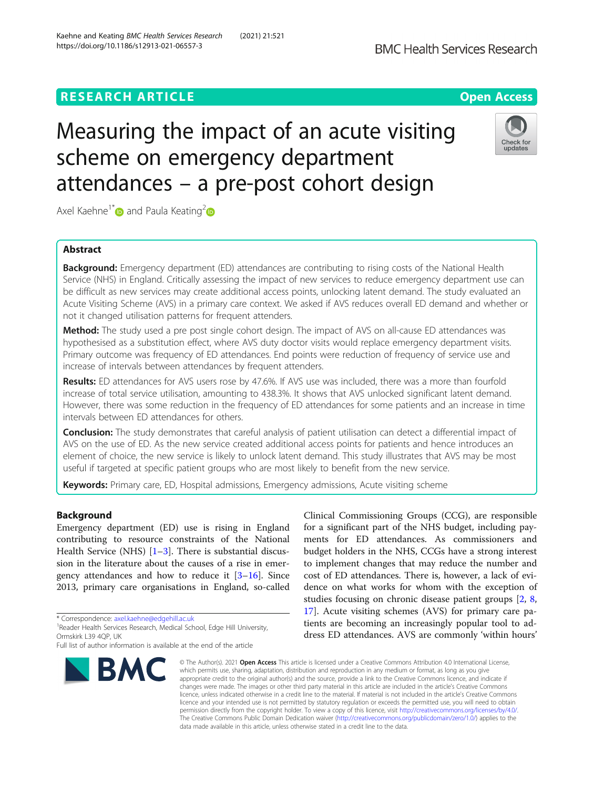# **RESEARCH ARTICLE Example 2014 12:30 The Contract of Contract ACCESS**

# Measuring the impact of an acute visiting scheme on emergency department attendances – a pre-post cohort design

Axel Kaehne<sup>1[\\*](https://orcid.org/0000-0002-7978-2214)</sup> and Paula Keating<sup>2</sup>

# Abstract

**Background:** Emergency department (ED) attendances are contributing to rising costs of the National Health Service (NHS) in England. Critically assessing the impact of new services to reduce emergency department use can be difficult as new services may create additional access points, unlocking latent demand. The study evaluated an Acute Visiting Scheme (AVS) in a primary care context. We asked if AVS reduces overall ED demand and whether or not it changed utilisation patterns for frequent attenders.

Method: The study used a pre post single cohort design. The impact of AVS on all-cause ED attendances was hypothesised as a substitution effect, where AVS duty doctor visits would replace emergency department visits. Primary outcome was frequency of ED attendances. End points were reduction of frequency of service use and increase of intervals between attendances by frequent attenders.

Results: ED attendances for AVS users rose by 47.6%. If AVS use was included, there was a more than fourfold increase of total service utilisation, amounting to 438.3%. It shows that AVS unlocked significant latent demand. However, there was some reduction in the frequency of ED attendances for some patients and an increase in time intervals between ED attendances for others.

Conclusion: The study demonstrates that careful analysis of patient utilisation can detect a differential impact of AVS on the use of ED. As the new service created additional access points for patients and hence introduces an element of choice, the new service is likely to unlock latent demand. This study illustrates that AVS may be most useful if targeted at specific patient groups who are most likely to benefit from the new service.

Keywords: Primary care, ED, Hospital admissions, Emergency admissions, Acute visiting scheme

#### Background

Emergency department (ED) use is rising in England contributing to resource constraints of the National Health Service (NHS) [[1](#page-6-0)–[3\]](#page-6-0). There is substantial discussion in the literature about the causes of a rise in emergency attendances and how to reduce it [\[3](#page-6-0)–[16\]](#page-6-0). Since 2013, primary care organisations in England, so-called

\* Correspondence: [axel.kaehne@edgehill.ac.uk](mailto:axel.kaehne@edgehill.ac.uk) <sup>1</sup>

**BMC** 

<sup>1</sup> Reader Health Services Research, Medical School, Edge Hill University, Ormskirk L39 4QP, UK

appropriate credit to the original author(s) and the source, provide a link to the Creative Commons licence, and indicate if changes were made. The images or other third party material in this article are included in the article's Creative Commons licence, unless indicated otherwise in a credit line to the material. If material is not included in the article's Creative Commons licence and your intended use is not permitted by statutory regulation or exceeds the permitted use, you will need to obtain permission directly from the copyright holder. To view a copy of this licence, visit [http://creativecommons.org/licenses/by/4.0/.](http://creativecommons.org/licenses/by/4.0/) The Creative Commons Public Domain Dedication waiver [\(http://creativecommons.org/publicdomain/zero/1.0/](http://creativecommons.org/publicdomain/zero/1.0/)) applies to the data made available in this article, unless otherwise stated in a credit line to the data.

© The Author(s), 2021 **Open Access** This article is licensed under a Creative Commons Attribution 4.0 International License, which permits use, sharing, adaptation, distribution and reproduction in any medium or format, as long as you give

Clinical Commissioning Groups (CCG), are responsible for a significant part of the NHS budget, including payments for ED attendances. As commissioners and budget holders in the NHS, CCGs have a strong interest to implement changes that may reduce the number and cost of ED attendances. There is, however, a lack of evidence on what works for whom with the exception of studies focusing on chronic disease patient groups [[2,](#page-6-0) [8](#page-6-0), [17\]](#page-6-0). Acute visiting schemes (AVS) for primary care patients are becoming an increasingly popular tool to address ED attendances. AVS are commonly 'within hours'





Full list of author information is available at the end of the article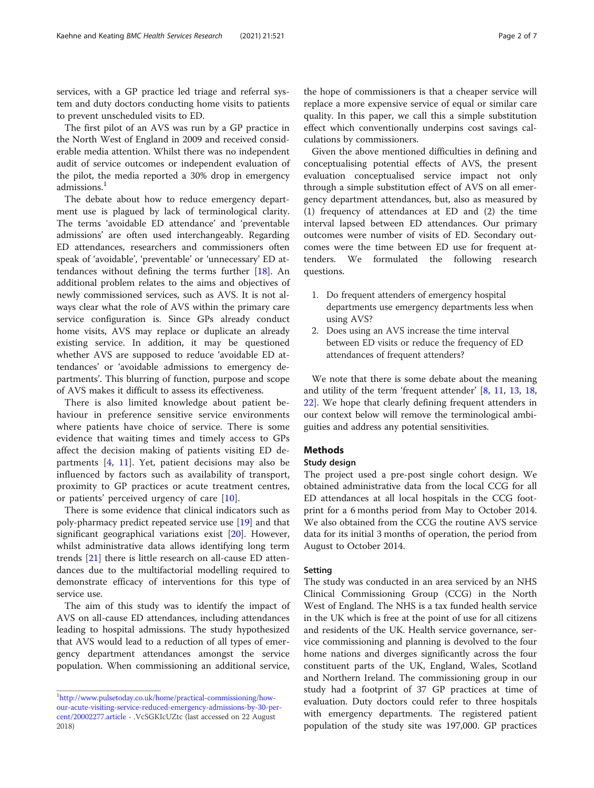services, with a GP practice led triage and referral system and duty doctors conducting home visits to patients to prevent unscheduled visits to ED.

The first pilot of an AVS was run by a GP practice in the North West of England in 2009 and received considerable media attention. Whilst there was no independent audit of service outcomes or independent evaluation of the pilot, the media reported a 30% drop in emergency admissions $<sup>1</sup>$ </sup>

The debate about how to reduce emergency department use is plagued by lack of terminological clarity. The terms 'avoidable ED attendance' and 'preventable admissions' are often used interchangeably. Regarding ED attendances, researchers and commissioners often speak of 'avoidable', 'preventable' or 'unnecessary' ED attendances without defining the terms further [\[18](#page-6-0)]. An additional problem relates to the aims and objectives of newly commissioned services, such as AVS. It is not always clear what the role of AVS within the primary care service configuration is. Since GPs already conduct home visits, AVS may replace or duplicate an already existing service. In addition, it may be questioned whether AVS are supposed to reduce 'avoidable ED attendances' or 'avoidable admissions to emergency departments'. This blurring of function, purpose and scope of AVS makes it difficult to assess its effectiveness.

There is also limited knowledge about patient behaviour in preference sensitive service environments where patients have choice of service. There is some evidence that waiting times and timely access to GPs affect the decision making of patients visiting ED departments [\[4](#page-6-0), [11](#page-6-0)]. Yet, patient decisions may also be influenced by factors such as availability of transport, proximity to GP practices or acute treatment centres, or patients' perceived urgency of care [\[10](#page-6-0)].

There is some evidence that clinical indicators such as poly-pharmacy predict repeated service use [\[19](#page-6-0)] and that significant geographical variations exist [[20\]](#page-6-0). However, whilst administrative data allows identifying long term trends [[21\]](#page-6-0) there is little research on all-cause ED attendances due to the multifactorial modelling required to demonstrate efficacy of interventions for this type of service use.

The aim of this study was to identify the impact of AVS on all-cause ED attendances, including attendances leading to hospital admissions. The study hypothesized that AVS would lead to a reduction of all types of emergency department attendances amongst the service population. When commissioning an additional service, the hope of commissioners is that a cheaper service will replace a more expensive service of equal or similar care quality. In this paper, we call this a simple substitution effect which conventionally underpins cost savings calculations by commissioners.

Given the above mentioned difficulties in defining and conceptualising potential effects of AVS, the present evaluation conceptualised service impact not only through a simple substitution effect of AVS on all emergency department attendances, but, also as measured by (1) frequency of attendances at ED and (2) the time interval lapsed between ED attendances. Our primary outcomes were number of visits of ED. Secondary outcomes were the time between ED use for frequent attenders. We formulated the following research questions.

- 1. Do frequent attenders of emergency hospital departments use emergency departments less when using AVS?
- 2. Does using an AVS increase the time interval between ED visits or reduce the frequency of ED attendances of frequent attenders?

We note that there is some debate about the meaning and utility of the term 'frequent attender' [[8,](#page-6-0) [11](#page-6-0), [13,](#page-6-0) [18](#page-6-0), [22\]](#page-6-0). We hope that clearly defining frequent attenders in our context below will remove the terminological ambiguities and address any potential sensitivities.

## Methods

### Study design

The project used a pre-post single cohort design. We obtained administrative data from the local CCG for all ED attendances at all local hospitals in the CCG footprint for a 6 months period from May to October 2014. We also obtained from the CCG the routine AVS service data for its initial 3 months of operation, the period from August to October 2014.

#### Setting

The study was conducted in an area serviced by an NHS Clinical Commissioning Group (CCG) in the North West of England. The NHS is a tax funded health service in the UK which is free at the point of use for all citizens and residents of the UK. Health service governance, service commissioning and planning is devolved to the four home nations and diverges significantly across the four constituent parts of the UK, England, Wales, Scotland and Northern Ireland. The commissioning group in our study had a footprint of 37 GP practices at time of evaluation. Duty doctors could refer to three hospitals with emergency departments. The registered patient population of the study site was 197,000. GP practices

<sup>&</sup>lt;sup>1</sup>[http://www.pulsetoday.co.uk/home/practical-commissioning/how](http://www.pulsetoday.co.uk/home/practical-commissioning/how-our-acute-visiting-service-reduced-emergency-admissions-by-30-per-cent/20002277.article)[our-acute-visiting-service-reduced-emergency-admissions-by-30-per](http://www.pulsetoday.co.uk/home/practical-commissioning/how-our-acute-visiting-service-reduced-emergency-admissions-by-30-per-cent/20002277.article)[cent/20002277.article](http://www.pulsetoday.co.uk/home/practical-commissioning/how-our-acute-visiting-service-reduced-emergency-admissions-by-30-per-cent/20002277.article) - .VcSGKIcUZtc (last accessed on 22 August 2018)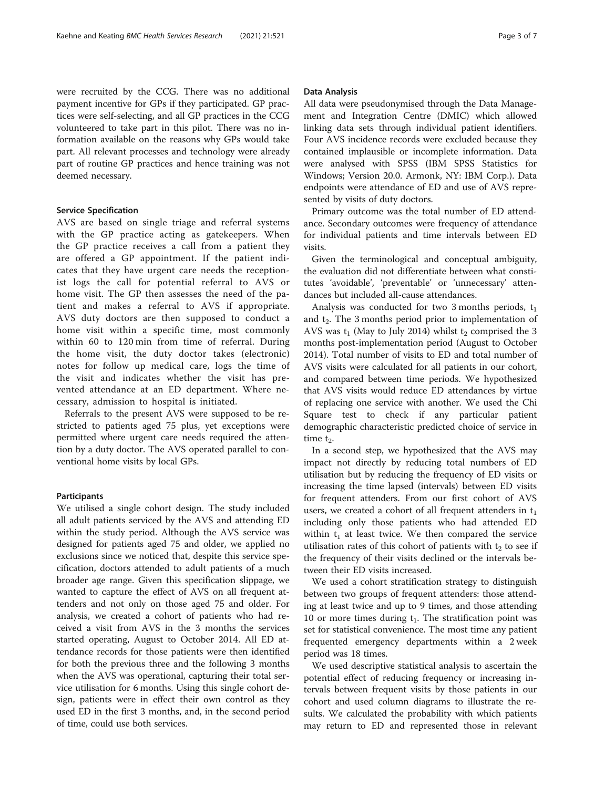were recruited by the CCG. There was no additional payment incentive for GPs if they participated. GP practices were self-selecting, and all GP practices in the CCG volunteered to take part in this pilot. There was no information available on the reasons why GPs would take part. All relevant processes and technology were already part of routine GP practices and hence training was not

#### Service Specification

deemed necessary.

AVS are based on single triage and referral systems with the GP practice acting as gatekeepers. When the GP practice receives a call from a patient they are offered a GP appointment. If the patient indicates that they have urgent care needs the receptionist logs the call for potential referral to AVS or home visit. The GP then assesses the need of the patient and makes a referral to AVS if appropriate. AVS duty doctors are then supposed to conduct a home visit within a specific time, most commonly within 60 to 120 min from time of referral. During the home visit, the duty doctor takes (electronic) notes for follow up medical care, logs the time of the visit and indicates whether the visit has prevented attendance at an ED department. Where necessary, admission to hospital is initiated.

Referrals to the present AVS were supposed to be restricted to patients aged 75 plus, yet exceptions were permitted where urgent care needs required the attention by a duty doctor. The AVS operated parallel to conventional home visits by local GPs.

#### **Participants**

We utilised a single cohort design. The study included all adult patients serviced by the AVS and attending ED within the study period. Although the AVS service was designed for patients aged 75 and older, we applied no exclusions since we noticed that, despite this service specification, doctors attended to adult patients of a much broader age range. Given this specification slippage, we wanted to capture the effect of AVS on all frequent attenders and not only on those aged 75 and older. For analysis, we created a cohort of patients who had received a visit from AVS in the 3 months the services started operating, August to October 2014. All ED attendance records for those patients were then identified for both the previous three and the following 3 months when the AVS was operational, capturing their total service utilisation for 6 months. Using this single cohort design, patients were in effect their own control as they used ED in the first 3 months, and, in the second period of time, could use both services.

All data were pseudonymised through the Data Management and Integration Centre (DMIC) which allowed linking data sets through individual patient identifiers. Four AVS incidence records were excluded because they contained implausible or incomplete information. Data were analysed with SPSS (IBM SPSS Statistics for Windows; Version 20.0. Armonk, NY: IBM Corp.). Data endpoints were attendance of ED and use of AVS represented by visits of duty doctors.

Primary outcome was the total number of ED attendance. Secondary outcomes were frequency of attendance for individual patients and time intervals between ED visits.

Given the terminological and conceptual ambiguity, the evaluation did not differentiate between what constitutes 'avoidable', 'preventable' or 'unnecessary' attendances but included all-cause attendances.

Analysis was conducted for two 3 months periods,  $t_1$ and  $t_2$ . The 3 months period prior to implementation of AVS was  $t_1$  (May to July 2014) whilst  $t_2$  comprised the 3 months post-implementation period (August to October 2014). Total number of visits to ED and total number of AVS visits were calculated for all patients in our cohort, and compared between time periods. We hypothesized that AVS visits would reduce ED attendances by virtue of replacing one service with another. We used the Chi Square test to check if any particular patient demographic characteristic predicted choice of service in time  $t_2$ .

In a second step, we hypothesized that the AVS may impact not directly by reducing total numbers of ED utilisation but by reducing the frequency of ED visits or increasing the time lapsed (intervals) between ED visits for frequent attenders. From our first cohort of AVS users, we created a cohort of all frequent attenders in  $t_1$ including only those patients who had attended ED within  $t_1$  at least twice. We then compared the service utilisation rates of this cohort of patients with  $t_2$  to see if the frequency of their visits declined or the intervals between their ED visits increased.

We used a cohort stratification strategy to distinguish between two groups of frequent attenders: those attending at least twice and up to 9 times, and those attending 10 or more times during  $t_1$ . The stratification point was set for statistical convenience. The most time any patient frequented emergency departments within a 2 week period was 18 times.

We used descriptive statistical analysis to ascertain the potential effect of reducing frequency or increasing intervals between frequent visits by those patients in our cohort and used column diagrams to illustrate the results. We calculated the probability with which patients may return to ED and represented those in relevant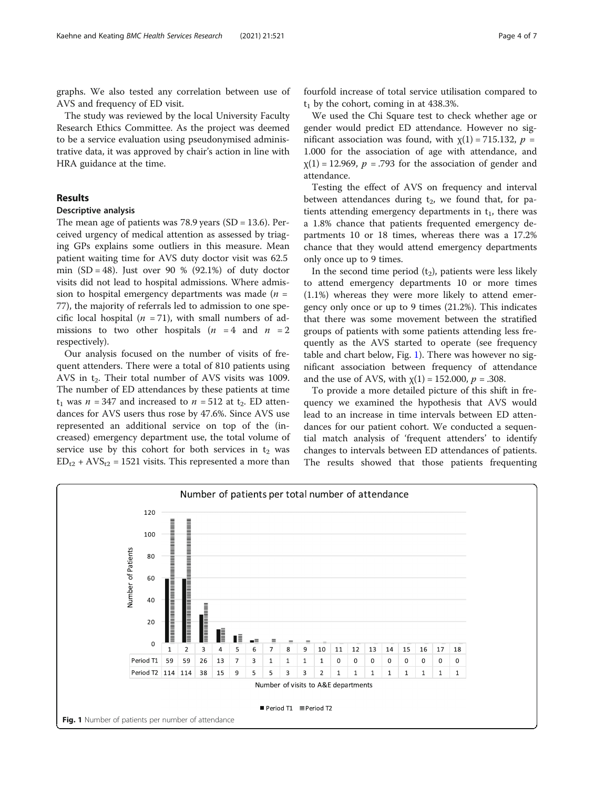graphs. We also tested any correlation between use of AVS and frequency of ED visit.

The study was reviewed by the local University Faculty Research Ethics Committee. As the project was deemed to be a service evaluation using pseudonymised administrative data, it was approved by chair's action in line with HRA guidance at the time.

#### Results

# Descriptive analysis

The mean age of patients was 78.9 years (SD = 13.6). Perceived urgency of medical attention as assessed by triaging GPs explains some outliers in this measure. Mean patient waiting time for AVS duty doctor visit was 62.5 min  $(SD = 48)$ . Just over 90 % (92.1%) of duty doctor visits did not lead to hospital admissions. Where admission to hospital emergency departments was made  $(n =$ 77), the majority of referrals led to admission to one specific local hospital ( $n = 71$ ), with small numbers of admissions to two other hospitals  $(n = 4 \text{ and } n = 2$ respectively).

Our analysis focused on the number of visits of frequent attenders. There were a total of 810 patients using AVS in  $t_2$ . Their total number of AVS visits was 1009. The number of ED attendances by these patients at time  $t_1$  was  $n = 347$  and increased to  $n = 512$  at  $t_2$ . ED attendances for AVS users thus rose by 47.6%. Since AVS use represented an additional service on top of the (increased) emergency department use, the total volume of service use by this cohort for both services in  $t_2$  was  $ED_{t2}$  + AVS<sub>t2</sub> = 1521 visits. This represented a more than fourfold increase of total service utilisation compared to  $t<sub>1</sub>$  by the cohort, coming in at 438.3%.

We used the Chi Square test to check whether age or gender would predict ED attendance. However no significant association was found, with  $\chi(1) = 715.132$ ,  $p =$ 1.000 for the association of age with attendance, and  $\chi(1) = 12.969$ ,  $p = .793$  for the association of gender and attendance.

Testing the effect of AVS on frequency and interval between attendances during  $t<sub>2</sub>$ , we found that, for patients attending emergency departments in  $t_1$ , there was a 1.8% chance that patients frequented emergency departments 10 or 18 times, whereas there was a 17.2% chance that they would attend emergency departments only once up to 9 times.

In the second time period  $(t_2)$ , patients were less likely to attend emergency departments 10 or more times (1.1%) whereas they were more likely to attend emergency only once or up to 9 times (21.2%). This indicates that there was some movement between the stratified groups of patients with some patients attending less frequently as the AVS started to operate (see frequency table and chart below, Fig. 1). There was however no significant association between frequency of attendance and the use of AVS, with  $\chi(1) = 152.000$ ,  $p = .308$ .

To provide a more detailed picture of this shift in frequency we examined the hypothesis that AVS would lead to an increase in time intervals between ED attendances for our patient cohort. We conducted a sequential match analysis of 'frequent attenders' to identify changes to intervals between ED attendances of patients. The results showed that those patients frequenting

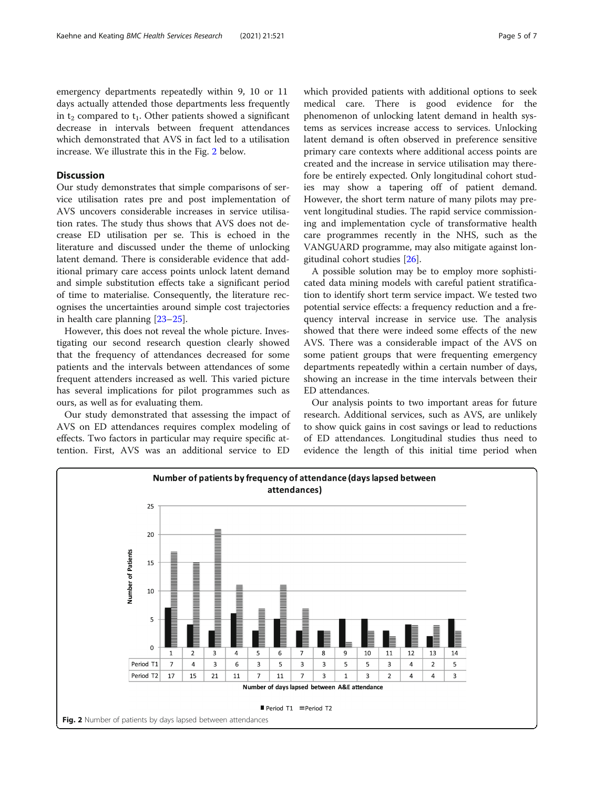emergency departments repeatedly within 9, 10 or 11 days actually attended those departments less frequently in  $t_2$  compared to  $t_1$ . Other patients showed a significant decrease in intervals between frequent attendances which demonstrated that AVS in fact led to a utilisation increase. We illustrate this in the Fig. 2 below.

#### **Discussion**

Our study demonstrates that simple comparisons of service utilisation rates pre and post implementation of AVS uncovers considerable increases in service utilisation rates. The study thus shows that AVS does not decrease ED utilisation per se. This is echoed in the literature and discussed under the theme of unlocking latent demand. There is considerable evidence that additional primary care access points unlock latent demand and simple substitution effects take a significant period of time to materialise. Consequently, the literature recognises the uncertainties around simple cost trajectories in health care planning [\[23](#page-6-0)–[25\]](#page-6-0).

However, this does not reveal the whole picture. Investigating our second research question clearly showed that the frequency of attendances decreased for some patients and the intervals between attendances of some frequent attenders increased as well. This varied picture has several implications for pilot programmes such as ours, as well as for evaluating them.

Our study demonstrated that assessing the impact of AVS on ED attendances requires complex modeling of effects. Two factors in particular may require specific attention. First, AVS was an additional service to ED which provided patients with additional options to seek medical care. There is good evidence for the phenomenon of unlocking latent demand in health systems as services increase access to services. Unlocking latent demand is often observed in preference sensitive primary care contexts where additional access points are created and the increase in service utilisation may therefore be entirely expected. Only longitudinal cohort studies may show a tapering off of patient demand. However, the short term nature of many pilots may prevent longitudinal studies. The rapid service commissioning and implementation cycle of transformative health care programmes recently in the NHS, such as the VANGUARD programme, may also mitigate against longitudinal cohort studies [[26](#page-6-0)].

A possible solution may be to employ more sophisticated data mining models with careful patient stratification to identify short term service impact. We tested two potential service effects: a frequency reduction and a frequency interval increase in service use. The analysis showed that there were indeed some effects of the new AVS. There was a considerable impact of the AVS on some patient groups that were frequenting emergency departments repeatedly within a certain number of days, showing an increase in the time intervals between their ED attendances.

Our analysis points to two important areas for future research. Additional services, such as AVS, are unlikely to show quick gains in cost savings or lead to reductions of ED attendances. Longitudinal studies thus need to evidence the length of this initial time period when

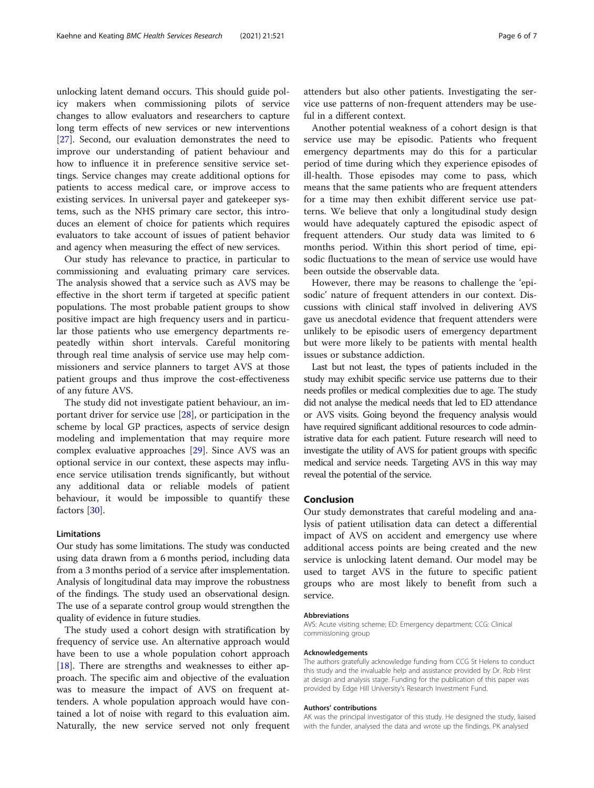unlocking latent demand occurs. This should guide policy makers when commissioning pilots of service changes to allow evaluators and researchers to capture long term effects of new services or new interventions [[27\]](#page-6-0). Second, our evaluation demonstrates the need to improve our understanding of patient behaviour and how to influence it in preference sensitive service settings. Service changes may create additional options for patients to access medical care, or improve access to existing services. In universal payer and gatekeeper systems, such as the NHS primary care sector, this introduces an element of choice for patients which requires evaluators to take account of issues of patient behavior and agency when measuring the effect of new services.

Our study has relevance to practice, in particular to commissioning and evaluating primary care services. The analysis showed that a service such as AVS may be effective in the short term if targeted at specific patient populations. The most probable patient groups to show positive impact are high frequency users and in particular those patients who use emergency departments repeatedly within short intervals. Careful monitoring through real time analysis of service use may help commissioners and service planners to target AVS at those patient groups and thus improve the cost-effectiveness of any future AVS.

The study did not investigate patient behaviour, an important driver for service use [[28\]](#page-6-0), or participation in the scheme by local GP practices, aspects of service design modeling and implementation that may require more complex evaluative approaches [\[29](#page-6-0)]. Since AVS was an optional service in our context, these aspects may influence service utilisation trends significantly, but without any additional data or reliable models of patient behaviour, it would be impossible to quantify these factors [\[30](#page-6-0)].

#### Limitations

Our study has some limitations. The study was conducted using data drawn from a 6 months period, including data from a 3 months period of a service after imsplementation. Analysis of longitudinal data may improve the robustness of the findings. The study used an observational design. The use of a separate control group would strengthen the quality of evidence in future studies.

The study used a cohort design with stratification by frequency of service use. An alternative approach would have been to use a whole population cohort approach [[18\]](#page-6-0). There are strengths and weaknesses to either approach. The specific aim and objective of the evaluation was to measure the impact of AVS on frequent attenders. A whole population approach would have contained a lot of noise with regard to this evaluation aim. Naturally, the new service served not only frequent attenders but also other patients. Investigating the service use patterns of non-frequent attenders may be useful in a different context.

Another potential weakness of a cohort design is that service use may be episodic. Patients who frequent emergency departments may do this for a particular period of time during which they experience episodes of ill-health. Those episodes may come to pass, which means that the same patients who are frequent attenders for a time may then exhibit different service use patterns. We believe that only a longitudinal study design would have adequately captured the episodic aspect of frequent attenders. Our study data was limited to 6 months period. Within this short period of time, episodic fluctuations to the mean of service use would have been outside the observable data.

However, there may be reasons to challenge the 'episodic' nature of frequent attenders in our context. Discussions with clinical staff involved in delivering AVS gave us anecdotal evidence that frequent attenders were unlikely to be episodic users of emergency department but were more likely to be patients with mental health issues or substance addiction.

Last but not least, the types of patients included in the study may exhibit specific service use patterns due to their needs profiles or medical complexities due to age. The study did not analyse the medical needs that led to ED attendance or AVS visits. Going beyond the frequency analysis would have required significant additional resources to code administrative data for each patient. Future research will need to investigate the utility of AVS for patient groups with specific medical and service needs. Targeting AVS in this way may reveal the potential of the service.

#### Conclusion

Our study demonstrates that careful modeling and analysis of patient utilisation data can detect a differential impact of AVS on accident and emergency use where additional access points are being created and the new service is unlocking latent demand. Our model may be used to target AVS in the future to specific patient groups who are most likely to benefit from such a service.

#### Abbreviations

AVS: Acute visiting scheme; ED: Emergency department; CCG: Clinical commissioning group

#### Acknowledgements

The authors gratefully acknowledge funding from CCG St Helens to conduct this study and the invaluable help and assistance provided by Dr. Rob Hirst at design and analysis stage. Funding for the publication of this paper was provided by Edge Hill University's Research Investment Fund.

#### Authors' contributions

AK was the principal investigator of this study. He designed the study, liaised with the funder, analysed the data and wrote up the findings. PK analysed